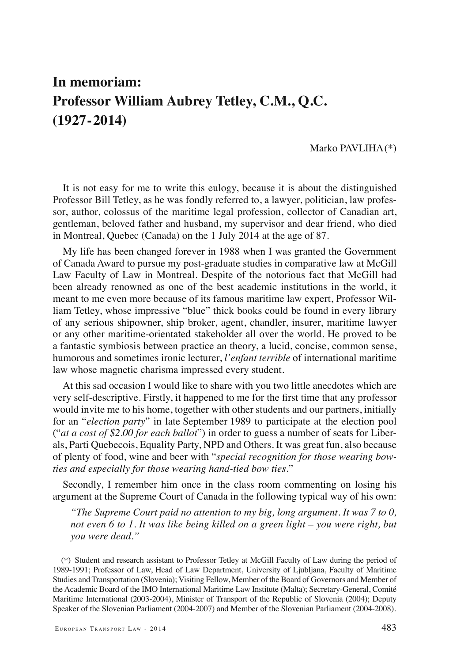## **In memoriam: Professor William Aubrey Tetley, C.M., Q.C. (1927-2014)**

## Marko PAVLIHA (\*)

It is not easy for me to write this eulogy, because it is about the distinguished Professor Bill Tetley, as he was fondly referred to, a lawyer, politician, law professor, author, colossus of the maritime legal profession, collector of Canadian art, gentleman, beloved father and husband, my supervisor and dear friend, who died in Montreal, Quebec (Canada) on the 1 July 2014 at the age of 87.

My life has been changed forever in 1988 when I was granted the Government of Canada Award to pursue my post-graduate studies in comparative law at McGill Law Faculty of Law in Montreal. Despite of the notorious fact that McGill had been already renowned as one of the best academic institutions in the world, it meant to me even more because of its famous maritime law expert, Professor William Tetley, whose impressive "blue" thick books could be found in every library of any serious shipowner, ship broker, agent, chandler, insurer, maritime lawyer or any other maritime-orientated stakeholder all over the world. He proved to be a fantastic symbiosis between practice an theory, a lucid, concise, common sense, humorous and sometimes ironic lecturer, *l'enfant terrible* of international maritime law whose magnetic charisma impressed every student.

At this sad occasion I would like to share with you two little anecdotes which are very self-descriptive. Firstly, it happened to me for the first time that any professor would invite me to his home, together with other students and our partners, initially for an "*election party*" in late September 1989 to participate at the election pool ("*at a cost of \$2.00 for each ballot*") in order to guess a number of seats for Liberals, Parti Quebecois, Equality Party, NPD and Others. It was great fun, also because of plenty of food, wine and beer with "*special recognition for those wearing bowties and especially for those wearing hand-tied bow ties*."

Secondly, I remember him once in the class room commenting on losing his argument at the Supreme Court of Canada in the following typical way of his own:

*"The Supreme Court paid no attention to my big, long argument. It was 7 to 0, not even 6 to 1. It was like being killed on a green light – you were right, but you were dead."*

<sup>(\*)</sup> Student and research assistant to Professor Tetley at McGill Faculty of Law during the period of 1989-1991; Professor of Law, Head of Law Department, University of Ljubljana, Faculty of Maritime Studies and Transportation (Slovenia); Visiting Fellow, Member of the Board of Governors and Member of the Academic Board of the IMO International Maritime Law Institute (Malta); Secretary-General, Comité Maritime International (2003-2004), Minister of Transport of the Republic of Slovenia (2004); Deputy Speaker of the Slovenian Parliament (2004-2007) and Member of the Slovenian Parliament (2004-2008).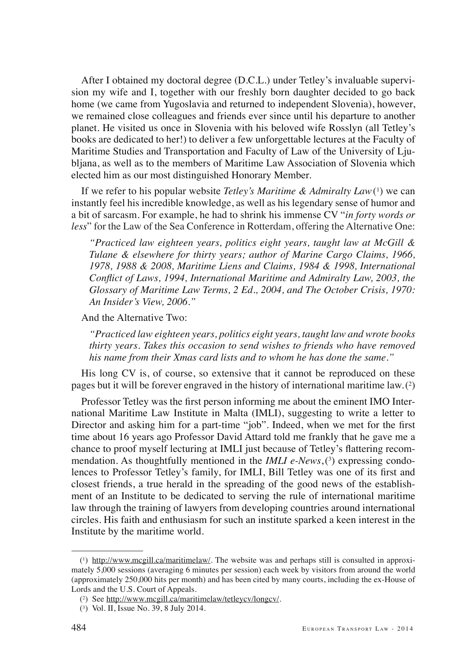After I obtained my doctoral degree (D.C.L.) under Tetley's invaluable supervision my wife and I, together with our freshly born daughter decided to go back home (we came from Yugoslavia and returned to independent Slovenia), however, we remained close colleagues and friends ever since until his departure to another planet. He visited us once in Slovenia with his beloved wife Rosslyn (all Tetley's books are dedicated to her!) to deliver a few unforgettable lectures at the Faculty of Maritime Studies and Transportation and Faculty of Law of the University of Ljubljana, as well as to the members of Maritime Law Association of Slovenia which elected him as our most distinguished Honorary Member.

If we refer to his popular website *Tetley's Maritime & Admiralty Law*<sup>(1)</sup> we can instantly feel his incredible knowledge, as well as his legendary sense of humor and a bit of sarcasm. For example, he had to shrink his immense CV "*in forty words or less*" for the Law of the Sea Conference in Rotterdam, offering the Alternative One:

*"Practiced law eighteen years, politics eight years, taught law at McGill & Tulane & elsewhere for thirty years; author of Marine Cargo Claims, 1966, 1978, 1988 & 2008, Maritime Liens and Claims, 1984 & 1998, International*  Conflict of Laws, 1994, International Maritime and Admiralty Law, 2003, the *Glossary of Maritime Law Terms, 2 Ed., 2004, and The October Crisis, 1970: An Insider's View, 2006."*

And the Alternative Two:

*"Practiced law eighteen years, politics eight years, taught law and wrote books thirty years. Takes this occasion to send wishes to friends who have removed his name from their Xmas card lists and to whom he has done the same."*

His long CV is, of course, so extensive that it cannot be reproduced on these pages but it will be forever engraved in the history of international maritime law. (<sup>2</sup> )

Professor Tetley was the first person informing me about the eminent IMO International Maritime Law Institute in Malta (IMLI), suggesting to write a letter to Director and asking him for a part-time "job". Indeed, when we met for the first time about 16 years ago Professor David Attard told me frankly that he gave me a chance to proof myself lecturing at IMLI just because of Tetley's flattering recommendation. As thoughtfully mentioned in the *IMLI e-News*, (3) expressing condolences to Professor Tetley's family, for IMLI, Bill Tetley was one of its first and closest friends, a true herald in the spreading of the good news of the establishment of an Institute to be dedicated to serving the rule of international maritime law through the training of lawyers from developing countries around international circles. His faith and enthusiasm for such an institute sparked a keen interest in the Institute by the maritime world.

<sup>(</sup> 1 ) http://www.mcgill.ca/maritimelaw/. The website was and perhaps still is consulted in approximately 5,000 sessions (averaging 6 minutes per session) each week by visitors from around the world (approximately 250,000 hits per month) and has been cited by many courts, including the ex-House of Lords and the U.S. Court of Appeals.

<sup>(</sup> 2 ) See http://www.mcgill.ca/maritimelaw/tetleycv/longcv/.

<sup>(</sup> 3 ) Vol. II, Issue No. 39, 8 July 2014.